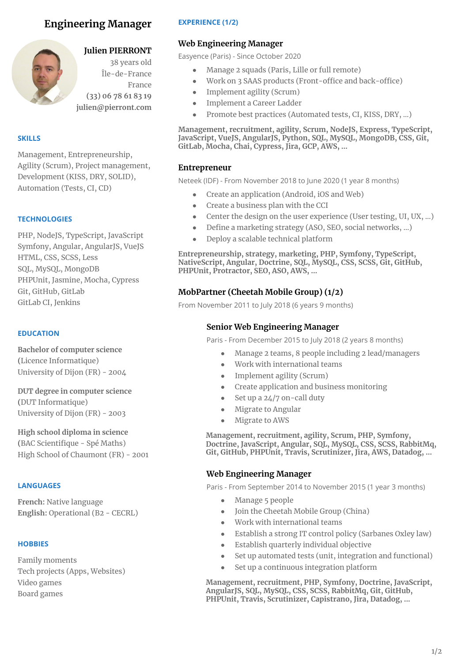# **Engineering Manager**



## **Julien PIERRONT**

38 years old Île-de-France France **(33) 06 78 61 83 19 julien@pierront.com**

#### **SKILLS**

Management, Entrepreneurship, Agility (Scrum), Project management, Development (KISS, DRY, SOLID), Automation (Tests, CI, CD)

#### **TECHNOLOGIES**

PHP, NodeJS, TypeScript, JavaScript Symfony, Angular, AngularJS, VueJS HTML, CSS, SCSS, Less SQL, MySQL, MongoDB PHPUnit, Jasmine, Mocha, Cypress Git, GitHub, GitLab GitLab CI, Jenkins

### **EDUCATION**

**Bachelor of computer science (**Licence Informatique) University of Dijon (FR) - 2004

**DUT degree in computer science (**DUT Informatique) University of Dijon (FR) - 2003

**High school diploma in science (**BAC Scientifique - Spé Maths) High School of Chaumont (FR) - 2001

#### **LANGUAGES**

**French:** Native language **English:** Operational (B2 - CECRL)

#### **HOBBIES**

Family moments Tech projects (Apps, Websites) Video games Board games

### **EXPERIENCE (1/2)**

### **Web Engineering Manager**

Easyence (Paris) - Since October 2020

- Manage 2 squads (Paris, Lille or full remote)
- Work on 3 SAAS products (Front-office and back-office)
- Implement agility (Scrum)
- Implement a Career Ladder
- Promote best practices (Automated tests, CI, KISS, DRY, ...)

**Management, recruitment, agility, Scrum, NodeJS, Express, TypeScript, JavaScript, VueJS, AngularJS, Python, SQL, MySQL, MongoDB, CSS, Git, GitLab, Mocha, Chai, Cypress, Jira, GCP, AWS, …**

### **Entrepreneur**

Neteek (IDF) - From November 2018 to June 2020 (1 year 8 months)

- Create an application (Android, iOS and Web)
- Create a business plan with the CCI
- Center the design on the user experience (User testing, UI, UX, ...)
- Define a marketing strategy (ASO, SEO, social networks, ...)
- Deploy a scalable technical platform

**Entrepreneurship, strategy, marketing, PHP, Symfony, TypeScript, NativeScript, Angular, Doctrine, SQL, MySQL, CSS, SCSS, Git, GitHub, PHPUnit, Protractor, SEO, ASO, AWS, …**

### **MobPartner (Cheetah Mobile Group) (1/2)**

From November 2011 to July 2018 (6 years 9 months)

### **Senior Web Engineering Manager**

Paris - From December 2015 to July 2018 (2 years 8 months)

- Manage 2 teams, 8 people including 2 lead/managers
- Work with international teams
- Implement agility (Scrum)
- Create application and business monitoring
- $\bullet$  Set up a 24/7 on-call duty
- Migrate to Angular
- Migrate to AWS

**Management, recruitment, agility, Scrum, PHP, Symfony, Doctrine, JavaScript, Angular, SQL, MySQL, CSS, SCSS, RabbitMq, Git, GitHub, PHPUnit, Travis, Scrutinizer, Jira, AWS, Datadog, …**

### **Web Engineering Manager**

Paris - From September 2014 to November 2015 (1 year 3 months)

- Manage 5 people
- Join the Cheetah Mobile Group (China)
- Work with international teams
- Establish a strong IT control policy (Sarbanes Oxley law)
- Establish quarterly individual objective
- Set up automated tests (unit, integration and functional)
- Set up a continuous integration platform

**Management, recruitment, PHP, Symfony, Doctrine, JavaScript, AngularJS, SQL, MySQL, CSS, SCSS, RabbitMq, Git, GitHub, PHPUnit, Travis, Scrutinizer, Capistrano, Jira, Datadog, ...**